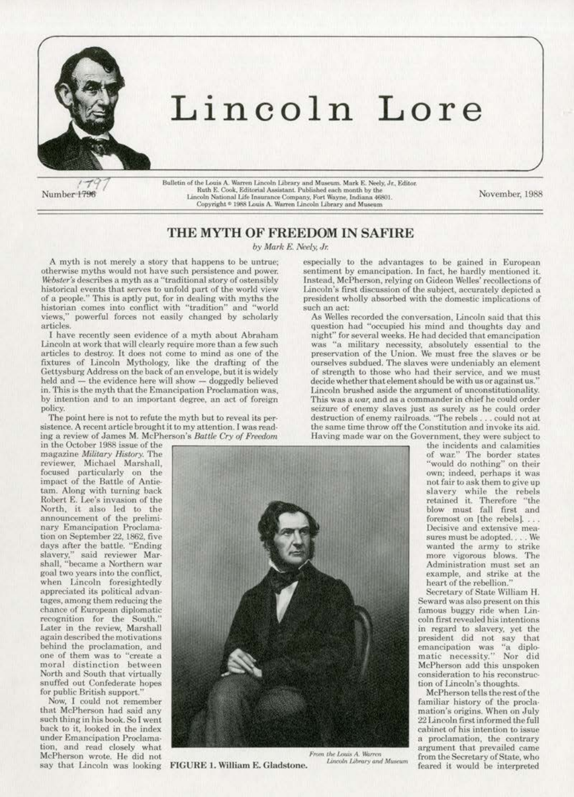

# Lincoln Lore

Number 1796

Bulletin of the Louis A. Warren Lincoln Library and Museum. Mark E. Neely, Jr., Editor.<br>Ruth E. Cook, Editorial Assistant. Published each month by the Lincoln National Life Insurance Company, Fort Wayne, Indiana 46801. Copyright <sup>®</sup> 1988 Louis A. Warren Lincoln Library and Museum

November, 1988

# THE MYTH OF FREEDOM IN SAFIRE

by Mark E. Neely, Jr.

A myth is not merely a story that happens to be untrue; otherwise myths would not have such persistence and power. Webster's describes a myth as a "traditional story of ostensibly historical events that serves to unfold part of the world view of a people." This is aptly put, for in dealing with myths the historian comes into conflict with "tradition" and "world views," powerful forces not easily changed by scholarly articles.

I have recently seen evidence of a myth about Abraham Lincoln at work that will clearly require more than a few such articles to destroy. It does not come to mind as one of the fixtures of Lincoln Mythology, like the drafting of the Gettysburg Address on the back of an envelope, but it is widely held and - the evidence here will show - doggedly believed in. This is the myth that the Emancipation Proclamation was, by intention and to an important degree, an act of foreign policy.

The point here is not to refute the myth but to reveal its persistence. A recent article brought it to my attention. I was reading a review of James M. McPherson's Battle Cry of Freedom

in the October 1988 issue of the magazine Military History. The reviewer, Michael Marshall, focused particularly on the impact of the Battle of Antietam. Along with turning back Robert E. Lee's invasion of the North, it also led to the announcement of the preliminary Emancipation Proclamation on September 22, 1862, five days after the battle. "Ending slavery," said reviewer Marshall, "became a Northern war goal two years into the conflict, when Lincoln foresightedly appreciated its political advantages, among them reducing the chance of European diplomatic recognition for the South.' Later in the review, Marshall again described the motivations behind the proclamation, and one of them was to "create a moral distinction between North and South that virtually snuffed out Confederate hopes for public British support.'

Now, I could not remember that McPherson had said any such thing in his book. So I went back to it, looked in the index under Emancipation Proclamation, and read closely what McPherson wrote. He did not say that Lincoln was looking



FIGURE 1. William E. Gladstone.

From the Louis A. Warren Lincoln Library and Museum

especially to the advantages to be gained in European sentiment by emancipation. In fact, he hardly mentioned it. Instead, McPherson, relying on Gideon Welles' recollections of Lincoln's first discussion of the subject, accurately depicted a president wholly absorbed with the domestic implications of such an act:

As Welles recorded the conversation, Lincoln said that this question had "occupied his mind and thoughts day and night" for several weeks. He had decided that emancipation was "a military necessity, absolutely essential to the preservation of the Union. We must free the slaves or be ourselves subdued. The slaves were undeniably an element of strength to those who had their service, and we must decide whether that element should be with us or against us. Lincoln brushed aside the argument of unconstitutionality. This was a war, and as a commander in chief he could order seizure of enemy slaves just as surely as he could order destruction of enemy railroads. "The rebels . . . could not at the same time throw off the Constitution and invoke its aid. Having made war on the Government, they were subject to

the incidents and calamities of war." The border states "would do nothing" on their own; indeed, perhaps it was not fair to ask them to give up slavery while the rebels retained it. Therefore "the blow must fall first and foremost on [the rebels]. . . . Decisive and extensive measures must be adopted.... We wanted the army to strike more vigorous blows. The Administration must set an example, and strike at the heart of the rebellion."

Secretary of State William H. Seward was also present on this famous buggy ride when Lincoln first revealed his intentions in regard to slavery, yet the president did not say that<br>emancipation was "a diplo-<br>matic necessity." Nor did McPherson add this unspoken consideration to his reconstruction of Lincoln's thoughts.

McPherson tells the rest of the familiar history of the proclamation's origins. When on July 22 Lincoln first informed the full cabinet of his intention to issue a proclamation, the contrary argument that prevailed came from the Secretary of State, who feared it would be interpreted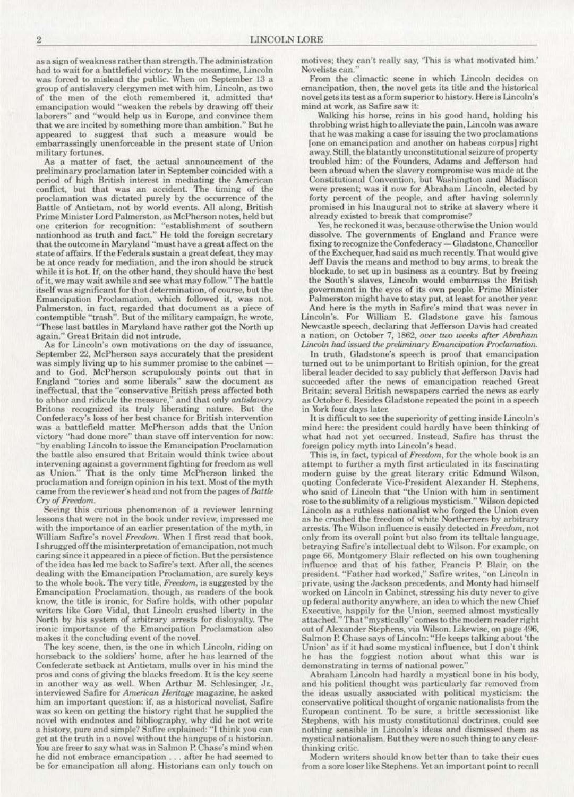as a sign of weakness rather than strength. The administration had to wait for a battlefield victory. In the meantime, Lincoln was forced to mislead the public. When on September 13 a group of antislavery clergymen met with him, Lincoln, as two of the men of the cloth remembered it, admitted that emancipation would ''weaken the rebels by drawing off their laborers'' and "would help us in Europe, and convince them that we are incited by something more than ambition." But he appeared to suggest that such a measure would be embarrassingly unenforceable in the present state of Union<br>military fortunes.

As a matter of fact, the actual announcement of the preliminary proclamation later in September coincided with a period of high British interest in mediating the American conflict, but that was an accident. The timing of the proclamation was dictated purely by the occurrence of the Battle of Antietam, not by world events. All along, British Prime Minister Lord Palmerston, as McPherson notes, held but one criterion for recognition: "establishment of southern nationhood as truth and fact." He told the foreign secretary that the outcome in Maryland "must have a great affect on the state of affairs. If the Federals sustain a great defeat, they may be at once ready for mediation, and the iron should be struck while it is hot. If, on the other hand, they should have the best of it, we may wait awhile and see what may follow." The battle itself was significant for that determination, of course, but the Emancipation Proclamation. which followed it. was not. Palmerston. in fact, regarded that document as a piece of contemptible "trash". But of the military campaign, he wrote, "These last battles in Maryland have rather got the North up again,'' Great Britain did not intrude.

*As* for Lincoln's own motivations on the day of issuance. September 22. McPherson says accurately that the president was simply living up to his summer promise to the cabinetand to God. McPherson scrupulously points out that in England "tories and some liberals'' saw the document as ineffectual, that the "conservative British press affected both to abhor and ridicule the measure," and that only *antislavery* Britons recognized its truly liberating nature. But the Confederacy's loss of her best chance for British intervention was a battlefield matter. McPherson adds that the Union<br>victory "had done more" than stave off intervention for now: "by enabling Lincoln to issue the Emancipation Proclamation the battle also ensured that Britain would think twice about intervenjng against a government fighting for freedom as well as Union." That is the only time McPherson linked the proclamation and foreign opinion in his text. Most of the myth came from the reviewer's head and not from the pages of *Battle* Cry of Freedom.

Seeing this curious phenomenon of a reviewer learning lessons that were not in the book under review, impressed me with the importance of an earlier presentation of the myth, in William Safire's novel Freedom. When I first read that book, I shrugged off the misinterpretation of emancipation, not much caring since it appeared in a piece of fiction. But the persistence of the idea has led me back to Safire's text. After all, the scenes dealing with the Emancipation Proclamation, are surely keys to the whole book. The very title, *Freedom*, is suggested by the Emancipation l'roclamation, though. as readers of the book know, the title is ironic, for Safirc holds, with other popular writers like Gore Vidal, that Lincoln crushed liberty in the North by his system of arbitrary arrests for disloyalty. The ironic importance of the Emancipation Proclamation also makes it the concluding event of the novel.

The key scene, then, is the one in which Lincoln, riding on horseback to the soldiers' home, after he has learned of the Confederate setback at Antietam, mulls over in his mind the pros and cons of giving the blacks freedom. It is the key scene in another way as well. When Arthur M. Schlesinger, Jr., interviewed Safire for *American Heritage* magazine, he asked him an important question: if, as a historical novelist, Safirc was so keen on getting the history right that he supplied the novel with endnotes and bibliography, why did he not write a history. pure and simple? Safire explained: "1 think you can gel at the truth in a novel without the hangups of a historian. You are freer to say what was in Salmon P. Chase's mind when he did not embrace emancipation . . . after he had seemed to be for emancipation all along. Historians can only touch on

motives; they can't really say, 'This is what motivated him.' Novelists can."<br>From the climactic scene in which Lincoln decides on

emancipation, then, the novel gets its title and the historical novel gets its test as a form superior to history. Here is Lincoln's mind at work, as Safire saw it:

Walking his horse, reins in his good hand, holding his throbbing wrist high to alleviate the pain, Lincoln was aware that he was making a case for issuing the two proclamations (one on emancipation and another on habeas corpus] right away. Still, the blatantly unconstitutional seizure of property. troubled him: of the Founders, Adams and Jefferson had been abroad when the slavery compromise was made at the Constitutional Convention. but. Washington and Madison were present; was it now for Abraham Lincoln, elected by forty percent of the people, and after having solemnly promised in his Inaugural not to strike at slavery where it already existed to break that compromise?

Yes, he reckoned it was, because otherwise the Union would<br>dissolve. The governments of England and France were fixing to recognize the Confederacy - Gladstone, Chancellor of the Exchequer, had said as much recently. That wouJd give Jeff Davis the means and method to buy arms, to break the blockade, to set up in business as a country. But by freeing the South's slaves, Lincoln would embarrass the British government in the eyes of its own people. Prime Minister Palmerston might have to stay put, at least for another year.

And here is the myth in Safire's mind that was never in Lincoln's. For William E. Gladstone gave his famous Newcastle speech, declaring that Jefferson Davis had created a nation, on October 7, 1862, over two weeks after Abraham *Lincoln had issued the preliminary Emancipation Proclamation.* 

In truth, Gladstone's speech is proof that emancipation turned out to be unimportant to British opinion. for the great liberal leader decided to say publicly that Jefferson Davis had succeeded after the news of emancipation reached Great Britain; several British newspapers carried the news as early as October 6. Besides Gladstone repeated the point in a speech

It is difficult to see the superiority of getting inside Lincoln's mind here: the president could hardly have been thinking of what had not yet occurred. Instead, Safire has thrust the foreign policy myth into Lincoln's head.

This is, in fact., typical of Freedom. for the whole book is an attempt to further a myth first articulated in its fascinating modern guise by the great literary critic Edmund Wilson, quoting Confederate Vice-President Alexander H. Stephens, who said of Linooln that "the Union with him in sentiment rose to the sublimity of a religious mysticism." Wilson depicted<br>Lincoln as a ruthless nationalist who forged the Union even as he crushed the freedom of white Northerners by arbitrary arrests. The Wilson influence is easily detected in Freedom, not. only from its overall point but also from its telltale language, betraying Safire's intellectual debt to Wilson. For example, on page 66, Montgomery Blair reflected on his own toughening influence and that of his father, Francis P. Blair; on the president. "Father had worked," Safire writes, "on Lincoln in private, using the Jackson precedents. and Monty had himself worked on Lincoln in Cabinet, stressing his duty never to give up federal authority anywhere. an idea to which the new Chief Executive, happily for the Union, seemed almost mystically attached." That "mystically" comes to the modern reader right out of Alexander Stephens, via Wilson. Likewise, on page 496, Salmon P. Chase says of Lincoln: "He keeps talking about 'the Union' as if it had some mystical influence, but I don't think he has the foggiest notion about what this war is demonstrating in terms of national power."

Abraham Lincoln had hardly a mystical bone in his body, and his politica1 thought was particularly far removed from the ideas usually associated with political mysticism: the conservative political thought of organic nationalists from the European continenl To be sure. a brittle secessionist like Stephens, with his musty constitutional doctrines. could sec nothing sensible in Lincoln's ideas and dismissed them as mystical nationalism. But they were no such thing to any clearthinking critic.

Modern writers should know better than to take their cues from a sore loser like Stephens. Yet an important point to recall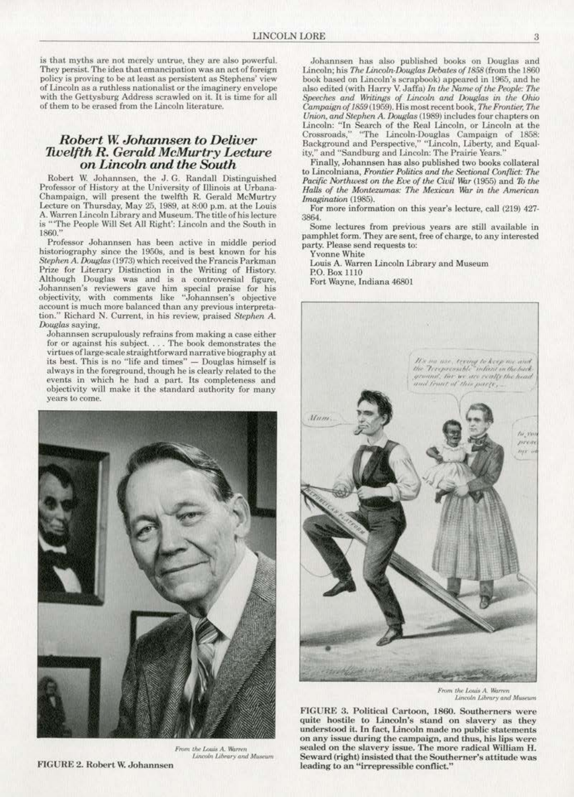is that myths are not merely untrue, they are also powerful. They persist. The idea that emancipation was an act of foreign policy is proving to be at least as persistent as Stephens' view of Lincoln as a ruthless nationalist or the imagincry envelope with the Gettysburg Address scrawled on it. It is time for all of them to be erased from the Lincoln literature.

## *Robert W. Johamtsen to Deliver 1Welfth R. Gerald McMurtry Lecture on Lincoln and the South*

Robert W. Johannsen, the J. G. Randall Distinguished Professor of History at the University of Illinois at Urbana-Champaign, will present the twelfth R. Gerald McMurtry Lecture on Thursday, May 25, 1989, at 8:00 p.m. at the Louis A. Warren Lincoln Library and Museum. The title of his lecture is "'The People Will Set All Right': Lincoln and the South in l860."

Professor Johannsen has been active in middle period historiography since the 1950s, and is best known for his Stephen A. Douglas (1973) which received the Francis Parkman Prize for Literary Distinction in the Writing of History. Although Douglas was and is a controversial figure, Johannsen's reviewers gave him special praise for his objectivity, with comments like '"Johannsen's objective account is much more balanced than any previous interpretalion." Richard N. Current., in his review, praised *Stephen* A. Douglas saying,

Johannsen scrupulously refrains from making a case either for or against his subject. . . . The book demonstrates the virtues oflarge-scale straightforward narrative biography at its best. This is no "life and times" - Douglas himself is always in the foreground, though he is clearly related to the events in which he had a part. Its completeness and objectivity will make it the standard authority for many years to come.



From the Louis A. Warrer *Lincoln Library and Museum* FIGURE 2. Robert W. Johannsen

Johannsen has also published books on Douglas and Lincoln; his *The Lincoln-Douglas Debates of 1858* (from the 1860) book based on Lincoln's scrapbook) appeared in 1965, and he also edited (with Harry V. Jaffa) *In the Name of the People: The* Speeches and Writings of Lincoln and Douglas in the Ohio *Campaign of 1859* (1959). His most recent book, *The Frontier, The Union, and Stephen A. Douglas* (1989) includes four chapters on Lincoln: "In Search of the Real Lincoln, or Lincoln at the Crossroads," "The Lincoln-Douglas Campaign of 1858: Background and Perspective," "Lincoln. Liberty, and Equal· ity," and "Sandburg and Lincoln: The Prairie Years."

Finally, Johannsen has also published two books collateral to Lincolniana, Frontier Politics and the Sectional Conflict: The Pacific Northwest on the Eve of the Civil War (1955) and To the *Halls of the Montezumas: The Mexican War in the American Imagination* (1985).

For more information on this year's lecture. call (219) 427- 38&1.

Some lectures from previous years are still available in pamphlet form. They are sent, free of charge, to any interested party. Please send requests to:

Yvonne White

Louis A. Warren Lincoln library and Museum P.O. Box 1110

Fort Wayne, Indiana 46801



From the Louis A. Warren Lincoln Library and Museum

FIGURE 3. Political Cartoon, 1860. Southerners were quite hostile to Lincoln's stand on slavery as they understood it. In fact, Lincoln made no public statements on any issue during the campaign, and thus, his lips were sealed on the slavery issue. The more radical William H. Seward (right) insisted that the Southerner's attitude was leading to an "irrepressible conflict."